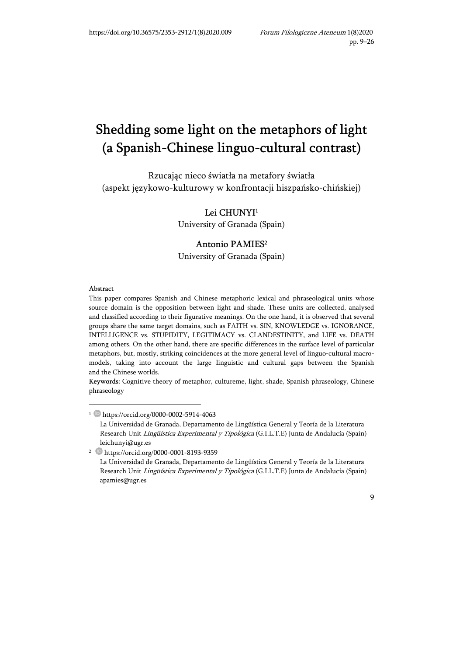# Shedding some light on the metaphors of light (a Spanish-Chinese linguo-cultural contrast)

Rzucając nieco światła na metafory światła (aspekt językowo-kulturowy w konfrontacji hiszpańsko-chińskiej)

> Lei CHUNYI<sup>1</sup> University of Granada (Spain)

#### Antonio PAMIES<sup>2</sup>

University of Granada (Spain)

#### Abstract

This paper compares Spanish and Chinese metaphoric lexical and phraseological units whose source domain is the opposition between light and shade. These units are collected, analysed and classified according to their figurative meanings. On the one hand, it is observed that several groups share the same target domains, such as FAITH vs. SIN, KNOWLEDGE vs. IGNORANCE, INTELLIGENCE vs. STUPIDITY, LEGITIMACY vs. CLANDESTINITY, and LIFE vs. DEATH among others. On the other hand, there are specific differences in the surface level of particular metaphors, but, mostly, striking coincidences at the more general level of linguo-cultural macromodels, taking into account the large linguistic and cultural gaps between the Spanish and the Chinese worlds.

Keywords: Cognitive theory of metaphor, cultureme, light, shade, Spanish phraseology, Chinese phraseology

<sup>1</sup> https://orcid.org/0000-0002-5914-4063 La Universidad de Granada, Departamento de Lingüística General y Teoría de la Literatura Research Unit Lingüística Experimental y Tipológica (G.I.L.T.E) Junta de Andalucía (Spain) leichunyi@ugr.es

<sup>2</sup> https://orcid.org/0000-0001-8193-9359

La Universidad de Granada, Departamento de Lingüística General y Teoría de la Literatura Research Unit Lingüística Experimental y Tipológica (G.I.L.T.E) Junta de Andalucía (Spain) apamies@ugr.es

<sup>9</sup>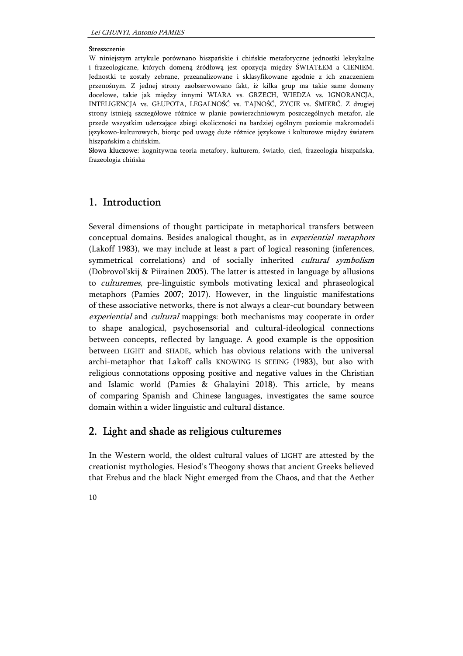#### Streszczenie

W niniejszym artykule porównano hiszpańskie i chińskie metaforyczne jednostki leksykalne i frazeologiczne, których domeną źródłową jest opozycja między ŚWIATŁEM a CIENIEM. Jednostki te zostały zebrane, przeanalizowane i sklasyfikowane zgodnie z ich znaczeniem przenośnym. Z jednej strony zaobserwowano fakt, iż kilka grup ma takie same domeny docelowe, takie jak między innymi WIARA vs. GRZECH, WIEDZA vs. IGNORANCJA, INTELIGENCJA vs. GŁUPOTA, LEGALNOŚĆ vs. TAJNOŚĆ, ŻYCIE vs. ŚMIERĆ. Z drugiej strony istnieją szczegółowe różnice w planie powierzchniowym poszczególnych metafor, ale przede wszystkim uderzające zbiegi okoliczności na bardziej ogólnym poziomie makromodeli językowo-kulturowych, biorąc pod uwagę duże różnice językowe i kulturowe między światem hiszpańskim a chińskim.

Słowa kluczowe: kognitywna teoria metafory, kulturem, światło, cień, frazeologia hiszpańska, frazeologia chińska

## 1. Introduction

Several dimensions of thought participate in metaphorical transfers between conceptual domains. Besides analogical thought, as in experiential metaphors (Lakoff 1983), we may include at least a part of logical reasoning (inferences, symmetrical correlations) and of socially inherited *cultural symbolism* (Dobrovol'skij & Piirainen 2005). The latter is attested in language by allusions to culturemes, pre-linguistic symbols motivating lexical and phraseological metaphors (Pamies 2007; 2017). However, in the linguistic manifestations of these associative networks, there is not always a clear-cut boundary between experiential and *cultural* mappings: both mechanisms may cooperate in order to shape analogical, psychosensorial and cultural-ideological connections between concepts, reflected by language. A good example is the opposition between LIGHT and SHADE, which has obvious relations with the universal archi-metaphor that Lakoff calls KNOWING IS SEEING (1983), but also with religious connotations opposing positive and negative values in the Christian and Islamic world (Pamies & Ghalayini 2018). This article, by means of comparing Spanish and Chinese languages, investigates the same source domain within a wider linguistic and cultural distance.

## 2. Light and shade as religious culturemes

In the Western world, the oldest cultural values of LIGHT are attested by the creationist mythologies. Hesiod's Theogony shows that ancient Greeks believed that Erebus and the black Night emerged from the Chaos, and that the Aether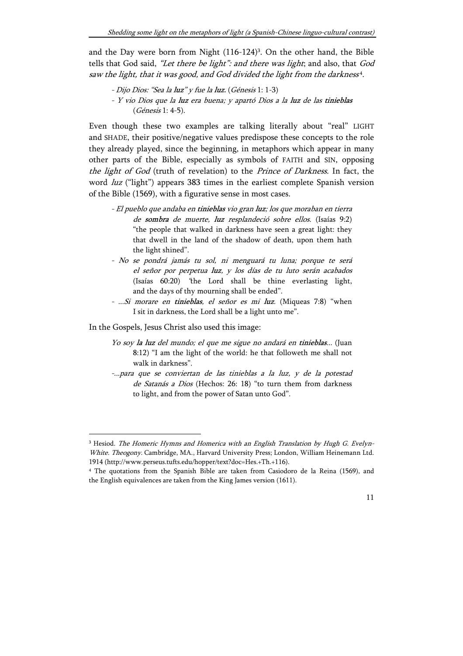and the Day were born from Night (116-124)<sup>3</sup>. On the other hand, the Bible tells that God said, "Let there be light": and there was light; and also, that God saw the light, that it was good, and God divided the light from the darkness<sup>4</sup>.

- Dijo Dios: "Sea la luz" y fue la luz. (Génesis 1: 1-3)
- Y vio Dios que la luz era buena; y apartó Dios a la luz de las tinieblas (Génesis 1: 4-5).

Even though these two examples are talking literally about "real" LIGHT and SHADE, their positive/negative values predispose these concepts to the role they already played, since the beginning, in metaphors which appear in many other parts of the Bible, especially as symbols of FAITH and SIN, opposing the light of God (truth of revelation) to the Prince of Darkness. In fact, the word luz ("light") appears 383 times in the earliest complete Spanish version of the Bible (1569), with a figurative sense in most cases.

- El pueblo que andaba en tinieblas vio gran luz; los que moraban en tierra de sombra de muerte, luz resplandeció sobre ellos. (Isaías 9:2) "the people that walked in darkness have seen a great light: they that dwell in the land of the shadow of death, upon them hath the light shined".
- No se pondrá jamás tu sol, ni menguará tu luna; porque te será el señor por perpetua luz, y los días de tu luto serán acabados (Isaías 60:20) "the Lord shall be thine everlasting light, and the days of thy mourning shall be ended".
- ...Si morare en tinieblas, el señor es mi luz. (Miqueas 7:8) "when I sit in darkness, the Lord shall be a light unto me".

In the Gospels, Jesus Christ also used this image:

-

- Yo soy la luz del mundo; el que me sigue no andará en tinieblas... (Juan 8:12) "I am the light of the world: he that followeth me shall not walk in darkness".
- -...para que se conviertan de las tinieblas a la luz, y de la potestad de Satanás a Dios (Hechos: 26: 18) "to turn them from darkness to light, and from the power of Satan unto God".

<sup>&</sup>lt;sup>3</sup> Hesiod. The Homeric Hymns and Homerica with an English Translation by Hugh G. Evelyn-White. Theogony. Cambridge, MA., Harvard University Press; London, William Heinemann Ltd. 1914 (http://www.perseus.tufts.edu/hopper/text?doc=Hes.+Th.+116).

<sup>4</sup> The quotations from the Spanish Bible are taken from Casiodoro de la Reina (1569), and the English equivalences are taken from the King James version (1611).

<sup>11</sup>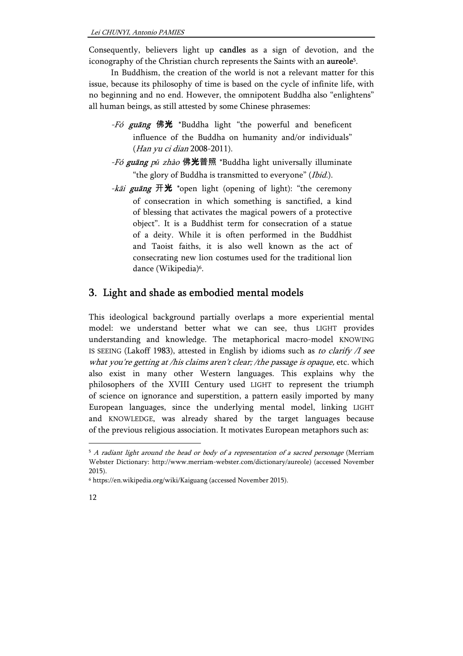Consequently, believers light up candles as a sign of devotion, and the iconography of the Christian church represents the Saints with an aureole<sup>5</sup>.

 In Buddhism, the creation of the world is not a relevant matter for this issue, because its philosophy of time is based on the cycle of infinite life, with no beginning and no end. However, the omnipotent Buddha also "enlightens" all human beings, as still attested by some Chinese phrasemes:

- -Fó guāng 佛光 \*Buddha light "the powerful and beneficent influence of the Buddha on humanity and/or individuals" (Han yu ci dian 2008-2011).
- -Fó guāng pǔ zhào 佛光普照 \*Buddha light universally illuminate "the glory of Buddha is transmitted to everyone" (Ibid.).
- -kāi guāng  $\#\mathcal{H}$  \*open light (opening of light): "the ceremony of consecration in which something is sanctified, a kind of blessing that activates the magical powers of a protective object". It is a Buddhist term for consecration of a statue of a deity. While it is often performed in the Buddhist and Taoist faiths, it is also well known as the act of consecrating new lion costumes used for the traditional lion dance (Wikipedia)<sup>6</sup>.

# 3. Light and shade as embodied mental models

This ideological background partially overlaps a more experiential mental model: we understand better what we can see, thus LIGHT provides understanding and knowledge. The metaphorical macro-model KNOWING IS SEEING (Lakoff 1983), attested in English by idioms such as to clarify  $\Lambda$  see what you're getting at /his claims aren't clear; /the passage is opaque, etc. which also exist in many other Western languages. This explains why the philosophers of the XVIII Century used LIGHT to represent the triumph of science on ignorance and superstition, a pattern easily imported by many European languages, since the underlying mental model, linking LIGHT and KNOWLEDGE, was already shared by the target languages because of the previous religious association. It motivates European metaphors such as:

<sup>6</sup> https://en.wikipedia.org/wiki/Kaiguang (accessed November 2015).



 $\overline{a}$ 

<sup>&</sup>lt;sup>5</sup> A radiant light around the head or body of a representation of a sacred personage (Merriam Webster Dictionary: http://www.merriam-webster.com/dictionary/aureole) (accessed November 2015).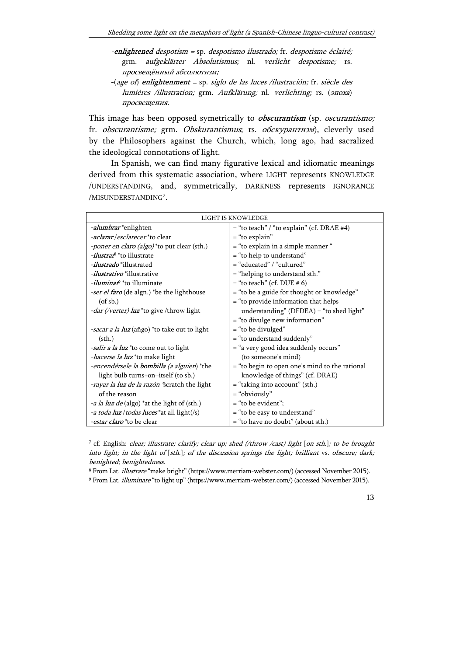-enlightened despotism = sp. despotismo ilustrado; fr. despotisme éclairé; grm. aufgeklärter Absolutismus; nl. verlicht despotisme; rs. просвещённый абсолютизм;

-(age of) enlightenment = sp. siglo de las luces /ilustración; fr. siècle des lumières /illustration; grm. Aufklärung; nl. verlichting; rs. (эпоха) просвещения.

This image has been opposed symetrically to *obscurantism* (sp. *oscurantismo*; fr. obscurantisme; grm. Obskurantismus; rs. обскурантизм), cleverly used by the Philosophers against the Church, which, long ago, had sacralized the ideological connotations of light.

In Spanish, we can find many figurative lexical and idiomatic meanings derived from this systematic association, where LIGHT represents KNOWLEDGE /UNDERSTANDING, and, symmetrically, DARKNESS represents IGNORANCE /MISUNDERSTANDING<sup>7</sup>.

| LIGHT IS KNOWLEDGE                                  |                                                |
|-----------------------------------------------------|------------------------------------------------|
| -alumbrar*enlighten                                 | $=$ "to teach" / "to explain" (cf. DRAE #4)    |
| <i>-aclarar/esclarecer</i> *to clear                | = "to explain"                                 |
| <i>-poner en claro (algo)</i> *to put clear (sth.)  | = "to explain in a simple manner"              |
| <i>-ilustrar</i> <sup>8</sup> *to illustrate        | = "to help to understand"                      |
| <i>-ilustrado</i> *illustrated                      | = "educated" / "cultured"                      |
| <i>-ilustrativo</i> *illustrative                   | = "helping to understand sth."                 |
| <i>-iluminar</i> <sup>9</sup> *to illuminate        | $=$ "to teach" (cf. DUE # 6)                   |
| <i>-ser el faro</i> (de algn.) *be the lighthouse   | = "to be a guide for thought or knowledge"     |
| $($ of sb. $)$                                      | = "to provide information that helps           |
| - <i>dar (/verter) luz</i> *to give /throw light    | understanding" ( $DFDEA$ ) = "to shed light"   |
|                                                     | = "to divulge new information"                 |
| <i>-sacar a la luz</i> (añgo) *to take out to light | = "to be divulged"                             |
| $(\text{sth.})$                                     | = "to understand suddenly"                     |
| <i>-salir a la luz</i> *to come out to light        | = "a very good idea suddenly occurs"           |
| <i>hacerse la luz</i> *to make light                | (to someone's mind)                            |
| -encendérsele la bombilla (a alguien) *the          | = "to begin to open one's mind to the rational |
| light bulb turns+on+itself (to sb.)                 | knowledge of things" (cf. DRAE)                |
| -rayar la luz de la razón *scratch the light        | = "taking into account" (sth.)                 |
| of the reason                                       | = "obviously"                                  |
| <i>-a la luz de</i> (algo) *at the light of (sth.)  | = "to be evident";                             |
| <i>a toda luz / todas luces</i> * at all light(/s)  | = "to be easy to understand"                   |
| <i>-estar claro</i> *to be clear                    | = "to have no doubt" (about sth.)              |

<sup>7</sup> cf. English: clear; illustrate; clarify; clear up; shed (/throw /cast) light [on sth.]; to be brought into light; in the light of [sth.]; of the discussion springs the light; brilliant vs. obscure; dark; benighted; benightedness.

-

<sup>8</sup> From Lat. illustrare "make bright" (https://www.merriam-webster.com/) (accessed November 2015).

<sup>9</sup> From Lat. illuminare "to light up" (https://www.merriam-webster.com/) (accessed November 2015).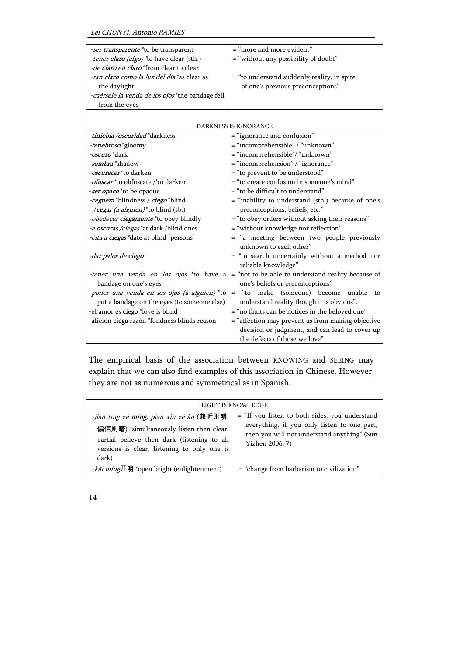| $=$ "more and more evident"                   |
|-----------------------------------------------|
| $=$ "without any possibility of doubt"        |
|                                               |
| $=$ "to understand suddenly reality, in spite |
| of one's previous preconceptions"             |
|                                               |
|                                               |
|                                               |

| DARKNESS IS IGNORANCE                        |                                                                                            |
|----------------------------------------------|--------------------------------------------------------------------------------------------|
| <i>-tiniebla /oscuridad</i> *darkness        | = "ignorance and confusion"                                                                |
| -tenebroso *gloomy                           | = "incomprehensible" / "unknown"                                                           |
| <i>-oscuro</i> *dark                         | = "incomprehensible"/ "unknown"                                                            |
| <i>-sombra</i> *shadow                       | = "incomprehension" / "ignorance"                                                          |
| <i>-oscurecer</i> *to darken                 | = "to prevent to be understood"                                                            |
| <i>-ofuscar</i> *to obfuscate /*to darken    | $=$ "to create confusion in someone's mind"                                                |
| -ser opaco*to be opaque                      | = "to be difficult to understand"                                                          |
| -ceguera *blindness / ciego *blind           | = "inability to understand (sth.) because of one's                                         |
| <i>cegar (a alguien)</i> * to blind (sb.)    | preconceptions, beliefs, etc."                                                             |
| -obedecer ciegamente *to obey blindly        | = "to obey orders without asking their reasons"                                            |
| -a oscuras /ciegas *at dark /blind ones      | = "without knowledge nor reflection"                                                       |
| -cita a ciegas * date at blind [persons]     | = "a meeting between two people previously                                                 |
|                                              | unknown to each other"                                                                     |
| -dar palos de ciego                          | = "to search uncertainly without a method nor                                              |
|                                              | reliable knowledge"                                                                        |
|                                              | -tener una venda en los ojos *to have a = "not to be able to understand reality because of |
| bandage on one's eyes                        | one's beliefs or preconceptions"                                                           |
|                                              | -poner una venda en los ojos (a alguien) *to = "to make (someone) become unable to         |
| put a bandage on the eyes (to someone else)  | understand reality though it is obvious".                                                  |
| -el amor es ciego *love is blind             | = "no faults can be notices in the beloved one"                                            |
| -afición ciega razón *fondness blinds reason | = "affection may prevent us from making objective                                          |
|                                              | decision or judgment, and can lead to cover up                                             |
|                                              | the defects of those we love"                                                              |

The empirical basis of the association between KNOWING and SEEING may explain that we can also find examples of this association in Chinese. However, they are not as numerous and symmetrical as in Spanish.

| LIGHT IS KNOWLEDGE                                                                                                                                                                                                    |                                                                                                                                                                 |
|-----------------------------------------------------------------------------------------------------------------------------------------------------------------------------------------------------------------------|-----------------------------------------------------------------------------------------------------------------------------------------------------------------|
| <i>-jiān tīng zé míng, piān xìn zé àn</i> (兼听则 <b>明</b> ,<br>偏信则 <b>暗</b> ) *simultaneously listen then clear,<br>partial believe then dark (listening to all<br>versions is clear, listening to only one is<br>dark) | = "If you listen to both sides, you understand<br>everything, if you only listen to one part,<br>then you will not understand anything" (Sun<br>Yizhen 2006: 7) |
| -kāi míng开明 *open bright (enlightenment)                                                                                                                                                                              | = "change from barbarism to civilization"                                                                                                                       |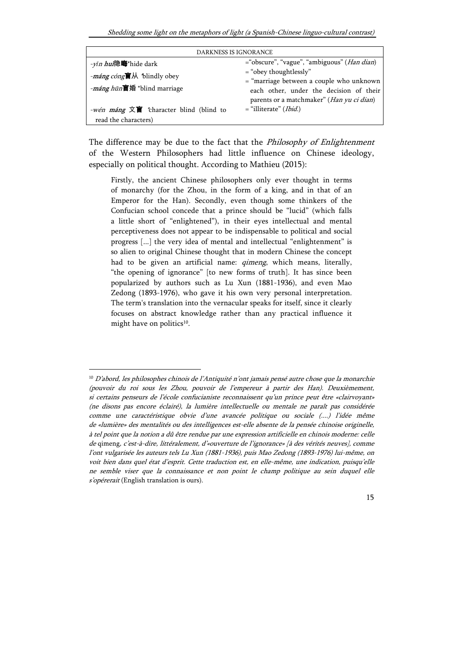Shedding some light on the metaphors of light (a Spanish-Chinese linguo-cultural contrast)

| DARKNESS IS IGNORANCE                                 |                                                                                         |
|-------------------------------------------------------|-----------------------------------------------------------------------------------------|
| - <i>yǐn huì</i> 隐晦*hide dark                         | ="obscure", "vague", "ambiguous" ( <i>Han dian</i> )                                    |
| - <i>máng cóng</i> <b>a</b> $\mathbb{R}$ blindly obey | $=$ "obey thoughtlessly"<br>$=$ "marriage between a couple who unknown                  |
| - <i>máng hūn</i> 盲婚 *blind marriage                  | each other, under the decision of their                                                 |
| -wén máng 文盲 *character blind (blind to               | parents or a matchmaker" ( <i>Han yu ci dian</i> )<br>$=$ "illiterate" ( <i>Ibid.</i> ) |
| read the characters)                                  |                                                                                         |

The difference may be due to the fact that the *Philosophy of Enlightenment* of the Western Philosophers had little influence on Chinese ideology, especially on political thought. According to Mathieu (2015):

Firstly, the ancient Chinese philosophers only ever thought in terms of monarchy (for the Zhou, in the form of a king, and in that of an Emperor for the Han). Secondly, even though some thinkers of the Confucian school concede that a prince should be "lucid" (which falls a little short of "enlightened"), in their eyes intellectual and mental perceptiveness does not appear to be indispensable to political and social progress [...] the very idea of mental and intellectual "enlightenment" is so alien to original Chinese thought that in modern Chinese the concept had to be given an artificial name: *qimeng*, which means, literally, "the opening of ignorance" [to new forms of truth]. It has since been popularized by authors such as Lu Xun (1881-1936), and even Mao Zedong (1893-1976), who gave it his own very personal interpretation. The term's translation into the vernacular speaks for itself, since it clearly focuses on abstract knowledge rather than any practical influence it might have on politics<sup>10</sup>.

 $\overline{a}$ 

<sup>10</sup> D'abord, les philosophes chinois de l'Antiquité n'ont jamais pensé autre chose que la monarchie (pouvoir du roi sous les Zhou, pouvoir de l'empereur à partir des Han). Deuxièmement, si certains penseurs de l'école confucianiste reconnaissent qu'un prince peut être «clairvoyant» (ne disons pas encore éclairé), la lumière intellectuelle ou mentale ne paraît pas considérée comme une caractéristique obvie d'une avancée politique ou sociale (....) l'idée même de «lumière» des mentalités ou des intelligences est-elle absente de la pensée chinoise originelle, à tel point que la notion a dû être rendue par une expression artificielle en chinois moderne: celle de qimeng, c'est-à-dire, littéralement, d'«ouverture de l'ignorance» [à des vérités neuves], comme l'ont vulgarisée les auteurs tels Lu Xun (1881-1936), puis Mao Zedong (1893-1976) lui-même, on voit bien dans quel état d'esprit. Cette traduction est, en elle-même, une indication, puisqu'elle ne semble viser que la connaissance et non point le champ politique au sein duquel elle s'opérerait (English translation is ours).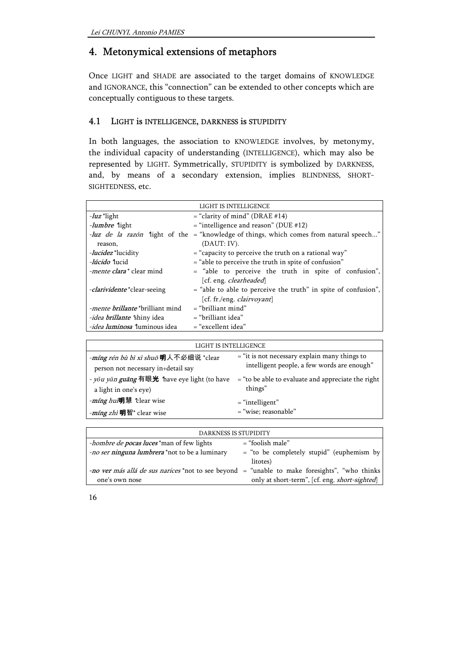# 4. Metonymical extensions of metaphors

Once LIGHT and SHADE are associated to the target domains of KNOWLEDGE and IGNORANCE, this "connection" can be extended to other concepts which are conceptually contiguous to these targets.

### 4.1 LIGHT is INTELLIGENCE, DARKNESS is STUPIDITY

In both languages, the association to KNOWLEDGE involves, by metonymy, the individual capacity of understanding (INTELLIGENCE), which may also be represented by LIGHT. Symmetrically, STUPIDITY is symbolized by DARKNESS, and, by means of a secondary extension, implies BLINDNESS, SHORT-SIGHTEDNESS, etc.

|                                         | LIGHT IS INTELLIGENCE                                                                         |
|-----------------------------------------|-----------------------------------------------------------------------------------------------|
| $-lux$ *light                           | $=$ "clarity of mind" (DRAE #14)                                                              |
| - <i>lumbre</i> light                   | $=$ "intelligence and reason" (DUE #12)                                                       |
|                                         | <i>luz de la razón</i> "light of the = "knowledge of things, which comes from natural speech" |
| reason,                                 | (DAUT: IV).                                                                                   |
| - <i>lucidez</i> *lucidity              | $=$ "capacity to perceive the truth on a rational way"                                        |
| -lúcido "lucid                          | $=$ "able to perceive the truth in spite of confusion"                                        |
| -mente clara* clear mind                | = "able to perceive the truth in spite of confusion",                                         |
|                                         | [cf. eng. <i>clearheaded</i> ]                                                                |
| <i>-clarividente</i> *clear-seeing      | = "able to able to perceive the truth" in spite of confusion",                                |
|                                         | [cf. fr./eng. <i>clairvoyant</i> ]                                                            |
| <i>-mente brillante</i> *brilliant mind | $=$ "brilliant mind"                                                                          |
| <i>-idea brillante</i> *shiny idea      | $=$ "brilliant idea"                                                                          |
| <i>-idea luminosa</i> "luminous idea    | = "excellent idea"                                                                            |

| LIGHT IS INTELLIGENCE                        |                                                      |
|----------------------------------------------|------------------------------------------------------|
| -míng rén bù bì xì shuō 明人不必细说 *clear        | $=$ "it is not necessary explain many things to      |
| person not necessary in+detail say           | intelligent people, a few words are enough"          |
| - yǒu yǎn guāng 有眼光 *have eye light (to have | $=$ "to be able to evaluate and appreciate the right |
| a light in one's eye)                        | things"                                              |
| - <i>míng hui</i> 明慧 *clear wise             | $=$ "intelligent"                                    |
| - <i>míng zhì</i> 明智* clear wise             | = "wise; reasonable"                                 |

| DARKNESS IS STUPIDITY                                                                                |                                                         |
|------------------------------------------------------------------------------------------------------|---------------------------------------------------------|
| <i>hombre de pocas luces</i> *man of few lights                                                      | $=$ "foolish male"                                      |
| <i>-no ser ninguna lumbrera</i> *not to be a luminary                                                | $=$ "to be completely stupid" (euphemism by<br>litotes) |
| <i>-no ver más allá de sus narices</i> *not to see beyond = "unable to make foresights", "who thinks |                                                         |
| one's own nose                                                                                       | only at short-term", [cf. eng. short-sighted]           |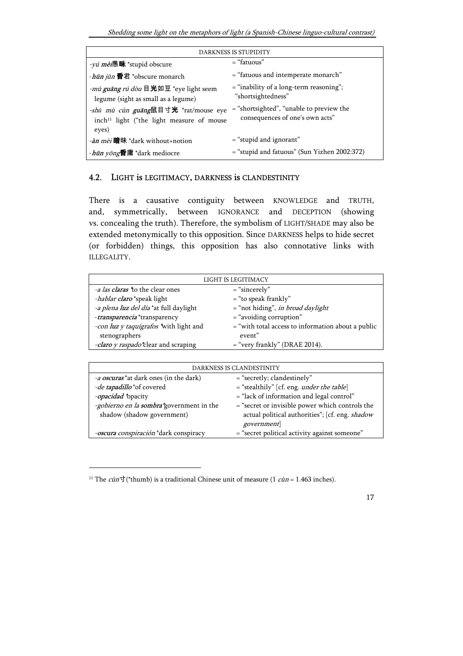Shedding some light on the metaphors of light (a Spanish-Chinese linguo-cultural contrast)

| DARKNESS IS STUPIDITY                                                                                  |                                                                               |
|--------------------------------------------------------------------------------------------------------|-------------------------------------------------------------------------------|
| -yú mèi愚昧 *stupid obscure                                                                              | $=$ "fatuous"                                                                 |
| - <i>hūn jūn</i> <b>昏</b> 君 *obscure monarch                                                           | = "fatuous and intemperate monarch"                                           |
| - <i>mù guāng rú dòu</i> 目光如豆 *eye light seem<br>legume (sight as small as a legume)                   | $=$ "inability of a long-term reasoning";<br>"shortsightedness"               |
| -shǔ mù cùn guāng鼠目寸光 *rat/mouse eye<br>inch <sup>11</sup> light ("the light measure of mouse<br>eyes) | $=$ "shortsighted", "unable to preview the<br>consequences of one's own acts" |
| <i>-àn mèi</i> 暗昧 *dark without+notion                                                                 | $=$ "stupid and ignorant"                                                     |
| - <i>hūn yōng</i> 昏庸 *dark mediocre                                                                    | $=$ "stupid and fatuous" (Sun Yizhen 2002:372)                                |

#### 4.2. LIGHT is LEGITIMACY, DARKNESS is CLANDESTINITY

There is a causative contiguity between KNOWLEDGE and TRUTH, and, symmetrically, between IGNORANCE and DECEPTION (showing vs. concealing the truth). Therefore, the symbolism of LIGHT/SHADE may also be extended metonymically to this opposition. Since DARKNESS helps to hide secret (or forbidden) things, this opposition has also connotative links with ILLEGALITY.

| LIGHT IS LEGITIMACY                     |                                                      |
|-----------------------------------------|------------------------------------------------------|
| <i>-a las claras</i> *to the clear ones | = "sincerely"                                        |
| -hablar claro*speak light               | $=$ "to speak frankly"                               |
| -a plena luz del día *at full daylight  | = "not hiding", <i>in broad daylight</i>             |
| -transparencia *transparency            | $=$ "avoiding corruption"                            |
| -con luz y taquígrafos *with light and  | $=$ "with total access to information about a public |
| stenographers                           | event"                                               |
| -claro y raspado*clear and scraping     | $=$ "very frankly" (DRAE 2014).                      |

| DARKNESS IS CLANDESTINITY                       |                                                   |
|-------------------------------------------------|---------------------------------------------------|
| <i>-a oscuras</i> *at dark ones (in the dark)   | $=$ "secretly; clandestinely"                     |
| -de tapadillo *of covered                       | = "stealthily" [cf. eng. <i>under the table</i> ] |
| -opacidad *opacity                              | $=$ "lack of information and legal control"       |
| <i>-gobierno en la sombra*government in the</i> | = "secret or invisible power which controls the   |
| shadow (shadow government)                      | actual political authorities"; [cf. eng. shadow   |
|                                                 | government                                        |
| -oscura conspiración *dark conspiracy           | = "secret political activity against someone"     |

-

<sup>&</sup>lt;sup>11</sup> The *cùn*<sup> $\pm$ </sup>(\*thumb) is a traditional Chinese unit of measure (1 *cùn* = 1.463 inches).

<sup>17</sup>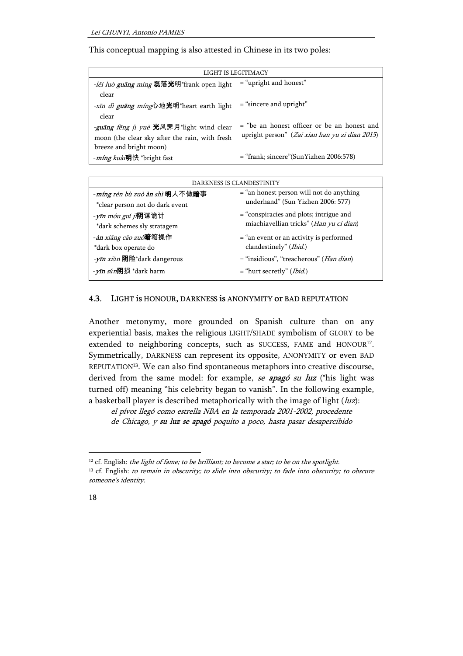This conceptual mapping is also attested in Chinese in its two poles:

| LIGHT IS LEGITIMACY                                     |                                                |
|---------------------------------------------------------|------------------------------------------------|
| -lěi luò guāng míng 磊落光明*frank open light               | $=$ "upright and honest"                       |
| clear                                                   |                                                |
| -xīn dì guāng míng心地光明*heart earth light                | $=$ "sincere and upright"                      |
| clear                                                   |                                                |
| <i>-guāng fēng jì yuè</i> <b>光</b> 风霁月*light wind clear | = "be an honest officer or be an honest and    |
| moon (the clear sky after the rain, with fresh          | upright person" (Zai xian han yu zi dian 2015) |
| breeze and bright moon)                                 |                                                |
| - <i>míng kuài</i> 明快 *bright fast                      | $=$ "frank; sincere"(SunYizhen 2006:578)       |

| DARKNESS IS CLANDESTINITY           |                                                    |
|-------------------------------------|----------------------------------------------------|
| -míng rén bù zuò àn shì 明人不做暗事      | $=$ "an honest person will not do anything         |
| *clear person not do dark event     | underhand" (Sun Yizhen 2006: 577)                  |
| <i>-yīn móu guǐ jì</i> 阴谋诡计         | $=$ "conspiracies and plots; intrigue and          |
| *dark schemes sly stratagem         | miachiavellian tricks" (Han yu ci dian)            |
| -àn xiāng cāo zuò <b>暗</b> 箱操作      | $=$ "an event or an activity is performed          |
| *dark box operate do                | clandestinely" (Ibid.)                             |
| - <i>yīn xiǎn</i> 阴险*dark dangerous | $=$ "insidious", "treacherous" ( <i>Han dian</i> ) |
| - yīn sǔn <b>阴</b> 损 *dark harm     | $=$ "hurt secretly" ( <i>Ibid.</i> )               |
|                                     |                                                    |

#### 4.3. LIGHT is HONOUR, DARKNESS is ANONYMITY or BAD REPUTATION

Another metonymy, more grounded on Spanish culture than on any experiential basis, makes the religious LIGHT/SHADE symbolism of GLORY to be extended to neighboring concepts, such as SUCCESS, FAME and HONOUR<sup>12</sup>. Symmetrically, DARKNESS can represent its opposite, ANONYMITY or even BAD REPUTATION<sup>13</sup>. We can also find spontaneous metaphors into creative discourse, derived from the same model: for example, se apagó su luz (\*his light was turned off) meaning "his celebrity began to vanish". In the following example, a basketball player is described metaphorically with the image of light  $(luz)$ :

el pívot llegó como estrella NBA en la temporada 2001-2002, procedente de Chicago, y su luz se apagó poquito a poco, hasta pasar desapercibido

<sup>&</sup>lt;sup>13</sup> cf. English: to remain in obscurity; to slide into obscurity; to fade into obscurity; to obscure someone's identity.



<sup>&</sup>lt;sup>12</sup> cf. English: the light of fame; to be brilliant; to become a star; to be on the spotlight.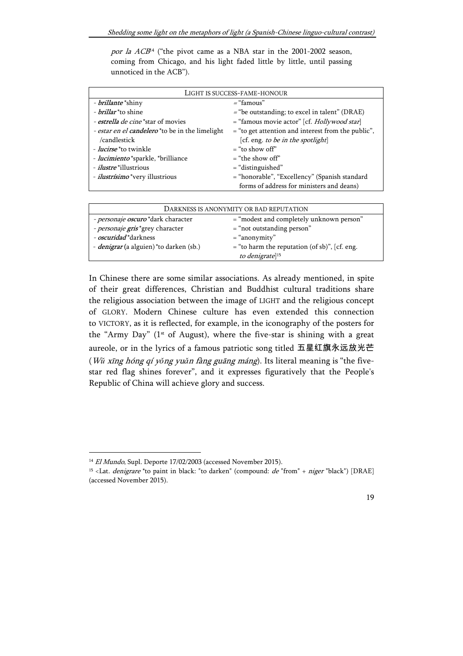por la  $ACB<sup>14</sup>$  ("the pivot came as a NBA star in the 2001-2002 season, coming from Chicago, and his light faded little by little, until passing unnoticed in the ACB").

| LIGHT IS SUCCESS-FAME-HONOUR                           |                                                      |
|--------------------------------------------------------|------------------------------------------------------|
| - <i>brillante</i> *shiny                              | $=$ "famous"                                         |
| - <i>brillar</i> <sup>*</sup> to shine                 | $=$ "be outstanding; to excel in talent" (DRAE)      |
| - estrella de cine *star of movies                     | = "famous movie actor" [cf. <i>Hollywood star</i> ]  |
| <i>- estar en el candelero</i> *to be in the limelight | $=$ "to get attention and interest from the public", |
| /candlestick                                           | [cf. eng. to be in the spotlight]                    |
| <i>- lucirse</i> *to twinkle                           | $=$ "to show off"                                    |
| - <i>lucimiento</i> *sparkle, *brilliance              | $=$ "the show off"                                   |
| <i>- ilustre</i> *illustrious                          | $=$ "distinguished"                                  |
| - <i>ilustrísimo</i> *very illustrious                 | = "honorable", "Excellency" (Spanish standard        |
|                                                        | forms of address for ministers and deans)            |

| DARKNESS IS ANONYMITY OR BAD REPUTATION        |                                                 |
|------------------------------------------------|-------------------------------------------------|
| - personaje oscuro *dark character             | $=$ "modest and completely unknown person"      |
| - personaje gris*grey character                | $=$ "not outstanding person"                    |
| - <i>oscuridad</i> *darkness                   | $=$ "anonymity"                                 |
| <i>- denigrar</i> (a alguien) *to darken (sb.) | $=$ "to harm the reputation (of sb)", [cf. eng. |
|                                                | to denigrate] <sup>15</sup>                     |

In Chinese there are some similar associations. As already mentioned, in spite of their great differences, Christian and Buddhist cultural traditions share the religious association between the image of LIGHT and the religious concept of GLORY. Modern Chinese culture has even extended this connection to VICTORY, as it is reflected, for example, in the iconography of the posters for the "Army Day" ( $1<sup>st</sup>$  of August), where the five-star is shining with a great aureole, or in the lyrics of a famous patriotic song titled 五星红旗永远放光芒 (Wǔ xīng hóng qí yǒng yuǎn fàng guāng máng). Its literal meaning is "the fivestar red flag shines forever", and it expresses figuratively that the People's Republic of China will achieve glory and success.

-

<sup>&</sup>lt;sup>14</sup> El Mundo, Supl. Deporte 17/02/2003 (accessed November 2015).

<sup>&</sup>lt;sup>15</sup> <Lat. *denigrare* \*to paint in black: "to darken" (compound:  $de$  "from" + niger "black") [DRAE] (accessed November 2015).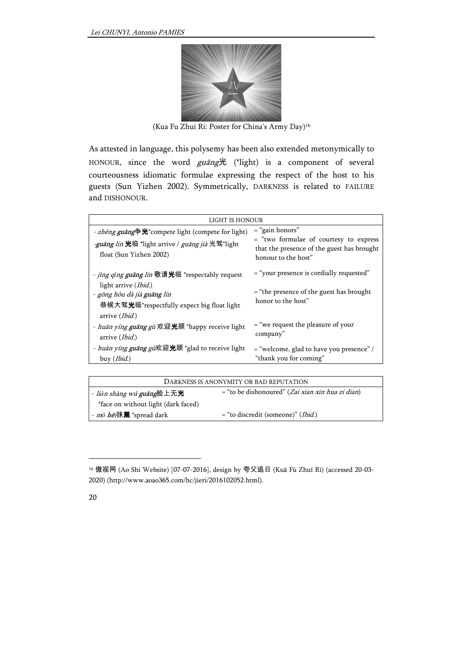

(Kua Fu Zhui Ri: Poster for China's Army Day)<sup>16</sup>

As attested in language, this polysemy has been also extended metonymically to HONOUR, since the word guang光 (\*light) is a component of several courteousness idiomatic formulae expressing the respect of the host to his guests (Sun Yizhen 2002). Symmetrically, DARKNESS is related to FAILURE and DISHONOUR.

| LIGHT IS HONOUR                                                                                                                                                                                 |                                                                                                                                  |
|-------------------------------------------------------------------------------------------------------------------------------------------------------------------------------------------------|----------------------------------------------------------------------------------------------------------------------------------|
| - zhēng guāng争光*compete light (compete for light)<br><i>-guāng lín</i> 光临 *light arrive / <i>guāng jià</i> 光驾*light<br>float (Sun Yizhen 2002)                                                  | $=$ "gain honors"<br>= "two formulae of courtesy to express<br>that the presence of the guest has brought<br>honour to the host" |
| - <i>jing qǐng guāng lín</i> 敬请光临 *respectably request<br>light arrive ( <i>Ibid</i> .)<br>- gōng hòu dà jià guāng lín<br>恭候大驾光临*respectfully expect big float light<br>arrive ( <i>Ibid</i> .) | = "your presence is cordially requested"<br>$=$ "the presence of the guest has brought<br>honor to the host"                     |
| - <i>huān yíng guāng gù</i> 欢迎 <b>光</b> 顾 *happy receive light<br>arrive ( <i>Ibid</i> .)                                                                                                       | $=$ "we request the pleasure of your<br>company"                                                                                 |
| - <i>huān yíng guāng gù</i> 欢迎 <b>光</b> 顾 *glad to receive light<br>buy ( <i>Ibid</i> .)                                                                                                        | = "welcome, glad to have you presence" /<br>"thank you for coming"                                                               |

| DARKNESS IS ANONYMITY OR BAD REPUTATION          |                                                             |
|--------------------------------------------------|-------------------------------------------------------------|
| - <i>liǎn shàng wú <b>guāng</b></i> 脸上无 <b>光</b> | $=$ "to be dishonoured" ( <i>Zai xian xin hua zi dian</i> ) |
| *face on without light (dark faced)              |                                                             |
| - <i>mǒ hēi</i> 抹 <b>黑</b> *spread dark          | $=$ "to discredit (someone)" ( <i>Ibid</i> .)               |

<sup>16</sup> 傲视网 (Ao Shi Website) [07-07-2016], design by 夸父追日 (Kuā Fù Zhuī Rì) (accessed 20-03- 2020) (http://www.aoao365.com/hc/jieri/2016102052.html).



 $\overline{a}$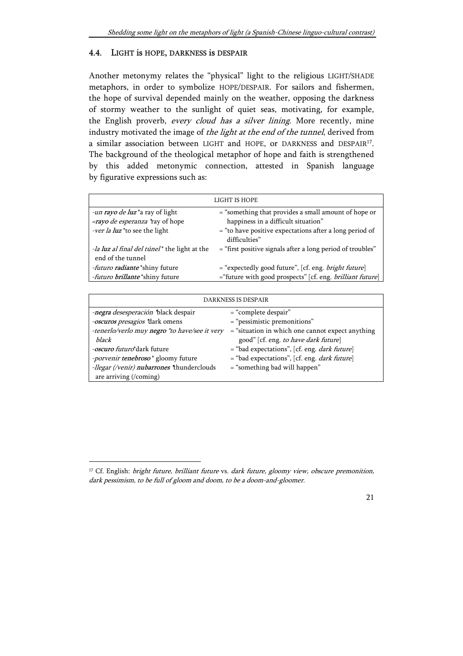#### 4.4. LIGHT is HOPE, DARKNESS is DESPAIR

Another metonymy relates the "physical" light to the religious LIGHT/SHADE metaphors, in order to symbolize HOPE/DESPAIR. For sailors and fishermen, the hope of survival depended mainly on the weather, opposing the darkness of stormy weather to the sunlight of quiet seas, motivating, for example, the English proverb, every cloud has a silver lining. More recently, mine industry motivated the image of the light at the end of the tunnel, derived from a similar association between LIGHT and HOPE, or DARKNESS and DESPAIR<sup>17</sup>. The background of the theological metaphor of hope and faith is strengthened by this added metonymic connection, attested in Spanish language by figurative expressions such as:

| LIGHT IS HOPE                                                     |                                                                          |
|-------------------------------------------------------------------|--------------------------------------------------------------------------|
| -un rayo de luz*a ray of light                                    | = "something that provides a small amount of hope or                     |
| =rayo de esperanza *ray of hope                                   | happiness in a difficult situation"                                      |
| <i>-ver la luz</i> *to see the light                              | = "to have positive expectations after a long period of<br>difficulties" |
| -la luz al final del túnel* the light at the<br>end of the tunnel | = "first positive signals after a long period of troubles"               |
| -futuro radiante *shiny future                                    | = "expectedly good future", [cf. eng. <i>bright future</i> ]             |
| -futuro brillante *shiny future                                   | ="future with good prospects" [cf. eng. brilliant future]                |
|                                                                   |                                                                          |

| <b>DARKNESS IS DESPAIR</b>                            |                                                        |
|-------------------------------------------------------|--------------------------------------------------------|
| -negra desesperación *black despair                   | $=$ "complete despair"                                 |
| -oscuros presagios *dark omens                        | $=$ "pessimistic premonitions"                         |
| -tenerlo/verlo muy negro *to have/see it very         | $=$ "situation in which one cannot expect anything     |
| black                                                 | good" [cf. eng. to have dark future]                   |
| -oscuro futuro*dark future                            | $=$ "bad expectations", [cf. eng. <i>dark future</i> ] |
| <i>-porvenir tenebroso</i> <sup>*</sup> gloomy future | $=$ "bad expectations", [cf. eng. <i>dark future</i> ] |
| -llegar (/venir) nubarrones *thunderclouds            | $=$ "something bad will happen"                        |
| are arriving (/coming)                                |                                                        |

 $\overline{a}$ 

<sup>&</sup>lt;sup>17</sup> Cf. English: bright future, brilliant future vs. dark future, gloomy view, obscure premonition, dark pessimism, to be full of gloom and doom, to be a doom-and-gloomer.

<sup>21</sup>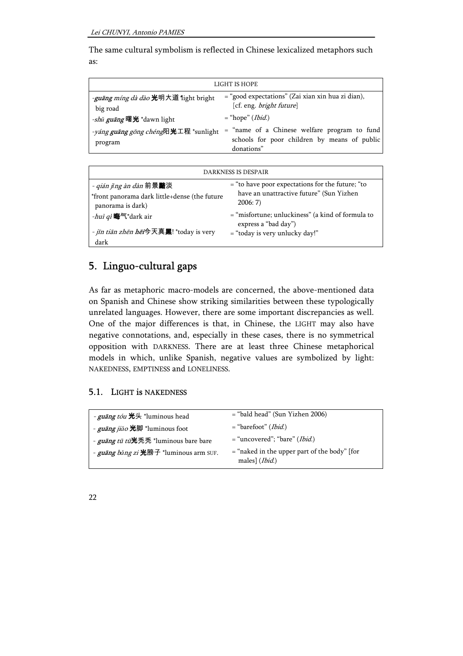The same cultural symbolism is reflected in Chinese lexicalized metaphors such as:

| LIGHT IS HOPE                                                  |                                                                                                              |
|----------------------------------------------------------------|--------------------------------------------------------------------------------------------------------------|
| <i>-guāng míng dà dào</i> 光明大道 *light bright<br>big road       | $=$ "good expectations" (Zai xian xin hua zi dian),<br>[cf. eng. <i>bright future</i> ]                      |
| <i>-shǔ guāng</i> 曙光 *dawn light                               | $=$ "hope" ( <i>Ibid.</i> )                                                                                  |
| <i>-yáng <b>guāng</b> gōng chéng</i> 阳光工程 *sunlight<br>program | $=$ "name of a Chinese welfare program to fund<br>schools for poor children by means of public<br>donations" |

| DARKNESS IS DESPAIR                                                                                    |                                                                                                          |
|--------------------------------------------------------------------------------------------------------|----------------------------------------------------------------------------------------------------------|
| - qián jǐng àn dàn 前景 <b>黯</b> 淡<br>*front panorama dark little+dense (the future<br>panorama is dark) | $=$ "to have poor expectations for the future; "to<br>have an unattractive future" (Sun Yizhen<br>2006:7 |
| - <i>huì qì</i> 晦气*dark air                                                                            | $=$ "misfortune; unluckiness" (a kind of formula to<br>express a "bad day")                              |
| - jīn tiān zhēn hēi今天真黑! *today is very<br>dark                                                        | $=$ "today is very unlucky day!"                                                                         |

# 5. Linguo-cultural gaps

As far as metaphoric macro-models are concerned, the above-mentioned data on Spanish and Chinese show striking similarities between these typologically unrelated languages. However, there are some important discrepancies as well. One of the major differences is that, in Chinese, the LIGHT may also have negative connotations, and, especially in these cases, there is no symmetrical opposition with DARKNESS. There are at least three Chinese metaphorical models in which, unlike Spanish, negative values are symbolized by light: NAKEDNESS, EMPTINESS and LONELINESS.

#### 5.1. LIGHT is NAKEDNESS

| - <i>guāng tóu</i> 光头 *luminous head          | $=$ "bald head" (Sun Yizhen 2006)                                         |
|-----------------------------------------------|---------------------------------------------------------------------------|
| - <i>guāng jiǎo</i> 光脚 *luminous foot         | $=$ "barefoot" ( <i>Ibid</i> .)                                           |
| - <i>guāng tū tū</i> 光秃秃 *luminous bare bare  | $=$ "uncovered"; "bare" ( <i>Ibid</i> .)                                  |
| - <i>guāng bǎng zi</i> 光膀子 *luminous arm SUF. | $=$ "naked in the upper part of the body" [for<br>males] ( <i>Ibid</i> .) |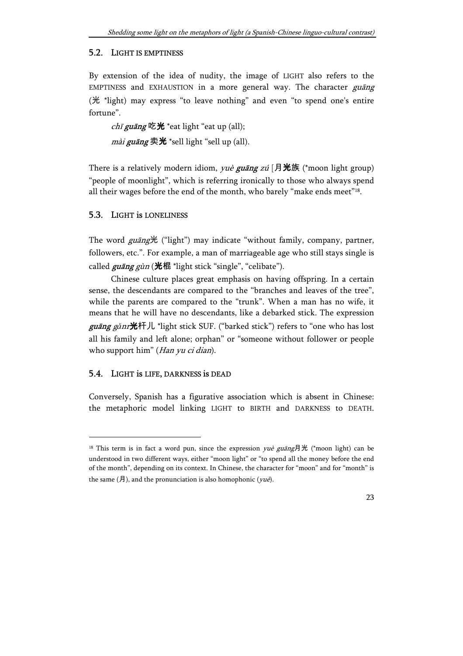#### 5.2. LIGHT IS EMPTINESS

By extension of the idea of nudity, the image of LIGHT also refers to the EMPTINESS and EXHAUSTION in a more general way. The character guāng (光 \*light) may express "to leave nothing" and even "to spend one's entire fortune".

chī guāng 吃光 \*eat light "eat up (all); mài guāng 卖光 \*sell light "sell up (all).

There is a relatively modern idiom, *yuè guāng zú* [月光族 (\*moon light group) "people of moonlight", which is referring ironically to those who always spend all their wages before the end of the month, who barely "make ends meet"<sup>18</sup>.

#### 5.3. LIGHT is LONELINESS

The word guāng光 ("light") may indicate "without family, company, partner, followers, etc.". For example, a man of marriageable age who still stays single is called  $\frac{g$ uāng  $g$ ùn (光棍 \*light stick "single", "celibate").

Chinese culture places great emphasis on having offspring. In a certain sense, the descendants are compared to the "branches and leaves of the tree", while the parents are compared to the "trunk". When a man has no wife, it means that he will have no descendants, like a debarked stick. The expression *guāng gǎnr*光杆儿 \*light stick SUF. ("barked stick") refers to "one who has lost all his family and left alone; orphan" or "someone without follower or people who support him" (Han yu ci dian).

#### 5.4. LIGHT is LIFE, DARKNESS is DEAD

-

Conversely, Spanish has a figurative association which is absent in Chinese: the metaphoric model linking LIGHT to BIRTH and DARKNESS to DEATH.

<sup>&</sup>lt;sup>18</sup> This term is in fact a word pun, since the expression  $y\alpha\dot{\beta}$  guang月光 (\*moon light) can be understood in two different ways, either "moon light" or "to spend all the money before the end of the month", depending on its context. In Chinese, the character for "moon" and for "month" is the same  $(H)$ , and the pronunciation is also homophonic  $(vu\dot{e})$ .

<sup>23</sup>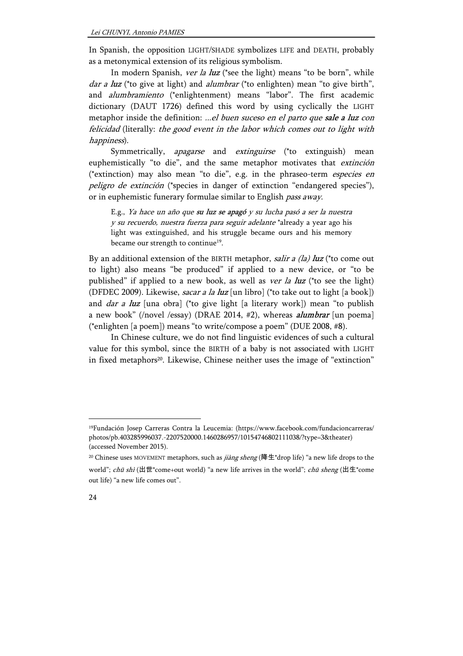In Spanish, the opposition LIGHT/SHADE symbolizes LIFE and DEATH, probably as a metonymical extension of its religious symbolism.

In modern Spanish, ver la luz (\*see the light) means "to be born", while *dar a luz* (\*to give at light) and *alumbrar* (\*to enlighten) mean "to give birth", and alumbramiento (\*enlightenment) means "labor". The first academic dictionary (DAUT 1726) defined this word by using cyclically the LIGHT metaphor inside the definition: ...el buen suceso en el parto que sale a luz con felicidad (literally: the good event in the labor which comes out to light with happiness).

Symmetrically, *apagarse* and *extinguirse* (\*to extinguish) mean euphemistically "to die", and the same metaphor motivates that extinción (\*extinction) may also mean "to die", e.g. in the phraseo-term especies en peligro de extinción (\*species in danger of extinction "endangered species"), or in euphemistic funerary formulae similar to English pass away.

E.g., Ya hace un año que su luz se apagó y su lucha pasó a ser la nuestra y su recuerdo, nuestra fuerza para seguir adelante \*already a year ago his light was extinguished, and his struggle became ours and his memory became our strength to continue<sup>19</sup>.

By an additional extension of the BIRTH metaphor, salir a (la) luz (\*to come out to light) also means "be produced" if applied to a new device, or "to be published" if applied to a new book, as well as ver la luz (\*to see the light) (DFDEC 2009). Likewise, *sacar a la luz* [un libro] (\*to take out to light [a book]) and *dar a luz* [una obra] (\*to give light [a literary work]) mean "to publish a new book" (/novel /essay) (DRAE 2014, #2), whereas *alumbrar* [un poema] (\*enlighten [a poem]) means "to write/compose a poem" (DUE 2008, #8).

In Chinese culture, we do not find linguistic evidences of such a cultural value for this symbol, since the BIRTH of a baby is not associated with LIGHT in fixed metaphors<sup>20</sup>. Likewise, Chinese neither uses the image of "extinction"

<sup>19</sup>Fundación Josep Carreras Contra la Leucemia: (https://www.facebook.com/fundacioncarreras/ photos/pb.403285996037.-2207520000.1460286957/10154746802111038/?type=3&theater) (accessed November 2015).

<sup>&</sup>lt;sup>20</sup> Chinese uses MOVEMENT metaphors, such as *jiàng sheng* (降生\*drop life) "a new life drops to the world"; chū shì (出世\*come+out world) "a new life arrives in the world"; chū sheng (出生\*come out life) "a new life comes out".

<sup>24</sup>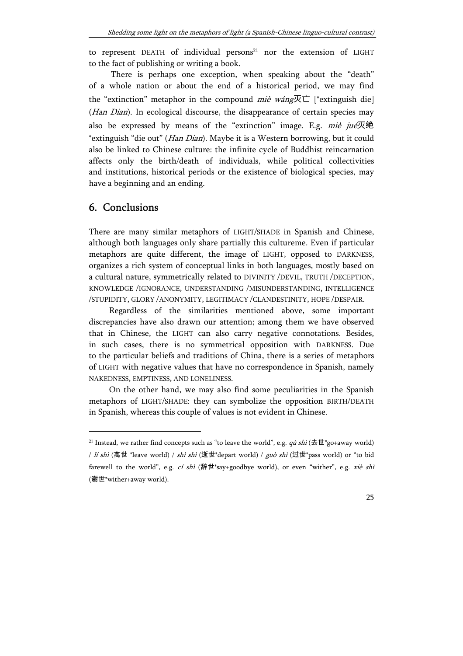to represent DEATH of individual persons<sup>21</sup> nor the extension of LIGHT to the fact of publishing or writing a book.

There is perhaps one exception, when speaking about the "death" of a whole nation or about the end of a historical period, we may find the "extinction" metaphor in the compound miè wáng $\overline{X}$  $\overline{C}$  [\*extinguish die] (Han Dian). In ecological discourse, the disappearance of certain species may also be expressed by means of the "extinction" image. E.g.  $mi\dot{e}$  jué灭绝 \*extinguish "die out" (Han Dian). Maybe it is a Western borrowing, but it could also be linked to Chinese culture: the infinite cycle of Buddhist reincarnation affects only the birth/death of individuals, while political collectivities and institutions, historical periods or the existence of biological species, may have a beginning and an ending.

#### 6. Conclusions

 $\overline{a}$ 

There are many similar metaphors of LIGHT/SHADE in Spanish and Chinese, although both languages only share partially this cultureme. Even if particular metaphors are quite different, the image of LIGHT, opposed to DARKNESS, organizes a rich system of conceptual links in both languages, mostly based on a cultural nature, symmetrically related to DIVINITY /DEVIL, TRUTH /DECEPTION, KNOWLEDGE /IGNORANCE, UNDERSTANDING /MISUNDERSTANDING, INTELLIGENCE /STUPIDITY, GLORY /ANONYMITY, LEGITIMACY /CLANDESTINITY, HOPE /DESPAIR.

Regardless of the similarities mentioned above, some important discrepancies have also drawn our attention; among them we have observed that in Chinese, the LIGHT can also carry negative connotations. Besides, in such cases, there is no symmetrical opposition with DARKNESS. Due to the particular beliefs and traditions of China, there is a series of metaphors of LIGHT with negative values that have no correspondence in Spanish, namely NAKEDNESS, EMPTINESS, AND LONELINESS.

On the other hand, we may also find some peculiarities in the Spanish metaphors of LIGHT/SHADE: they can symbolize the opposition BIRTH/DEATH in Spanish, whereas this couple of values is not evident in Chinese.

<sup>&</sup>lt;sup>21</sup> Instead, we rather find concepts such as "to leave the world", e.g.  $q\dot{u} \, \text{shi}$  (去世\*go+away world) / Ií shì (离世 \*leave world) / shì shì (逝世\*depart world) / guò shì (过世\*pass world) or "to bid farewell to the world", e.g. *cí shì* (辞世\*say+goodbye world), or even "wither", e.g. *xiè shì* (谢世\*wither+away world).